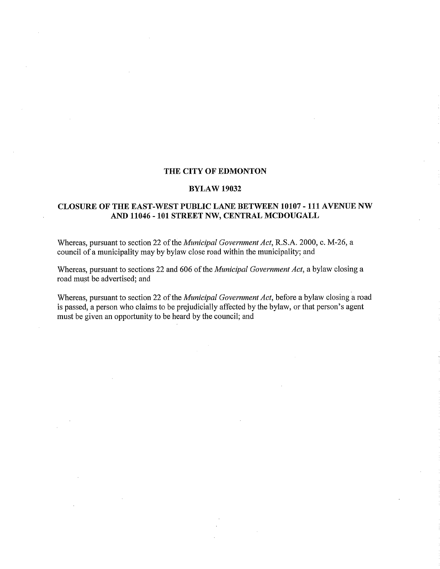### THE CITY OF EDMONTON

#### BYLAW 19032

### CLOSURE OF THE EAST-WEST PUBLIC LANE BETWEEN 10107 - 111 AVENUE NW AND 11046 - 101 STREET NW, CENTRAL MCDOUGALL

Whereas, pursuant to section 22 of the *Municipal Government Act,* R.S.A. 2000, c. M-26, a council of a municipality may by bylaw close road within the municipality; and

Whereas, pursuant to sections 22 and 606 of the *Municipal Government Act,* a bylaw closing a road must be advertised; and

Whereas, pursuant to section 22 of the *Municipal Government Act,* before a bylaw closing a road is passed, a person who claims to be prejudicially affected by the bylaw, or that person's agent must be given an opportunity to be heard by the council; and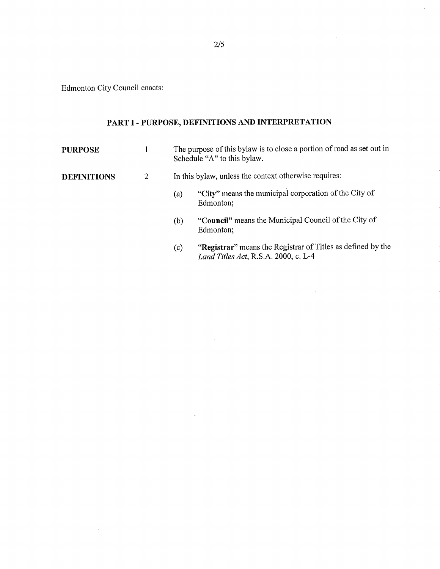Edmonton City Council enacts:

 $\sim 10$ 

 $\sim$ 

 $\sim$ 

# **PART I - PURPOSE, DEFINITIONS AND INTERPRETATION**

| <b>PURPOSE</b>     |   | The purpose of this bylaw is to close a portion of road as set out in<br>Schedule "A" to this bylaw.       |  |  |
|--------------------|---|------------------------------------------------------------------------------------------------------------|--|--|
| <b>DEFINITIONS</b> | 2 | In this bylaw, unless the context otherwise requires:                                                      |  |  |
|                    |   | "City" means the municipal corporation of the City of<br>(a)<br>Edmonton;                                  |  |  |
|                    |   | "Council" means the Municipal Council of the City of<br>(b)<br>Edmonton;                                   |  |  |
|                    |   | "Registrar" means the Registrar of Titles as defined by the<br>(c)<br>Land Titles Act, R.S.A. 2000, c. L-4 |  |  |

 $\mathcal{A}$ 

 $\mathcal{A}$ 

 $\mathcal{L}_{\mathcal{A}}$ 

 $\overline{\phantom{a}}$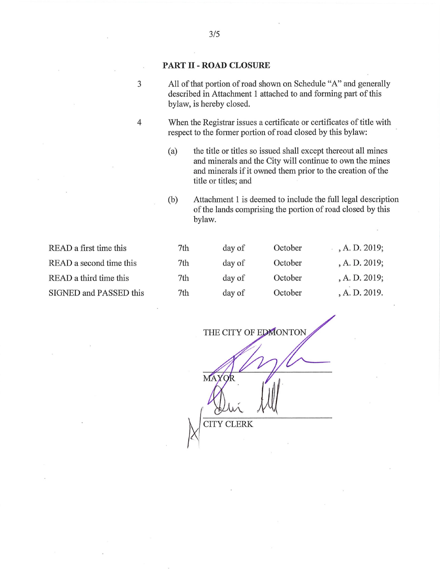### PART II- ROAD CLOSURE

3 All of that portion of road shown on Schedule "A" and generally described in Attachment I attached to and forming part of this bylaw, is hereby closed.

4 When the Registrar issues a certificate or certificates of title with respect to the former portion of road closed by this bylaw:

> (a) the title or titles so issued shall except thereout all mines and minerals and the City will continue to own the mines and minerals if it owned them prior to the creation of the title or titles; and

(b) Attachment 1 is deemed to include the full legal description of the lands comprising the portion of road closed by this bylaw.

| READ a first time this  | 7th | day of | October | , A. D. 2019; |
|-------------------------|-----|--------|---------|---------------|
| READ a second time this | 7th | day of | October | A. D. 2019;   |
| READ a third time this  | 7th | day of | October | A. D. 2019;   |
| SIGNED and PASSED this  | 7th | day of | October | , A. D. 2019. |

THE CITY OF EDMONTON

**MAY** CITY CLERK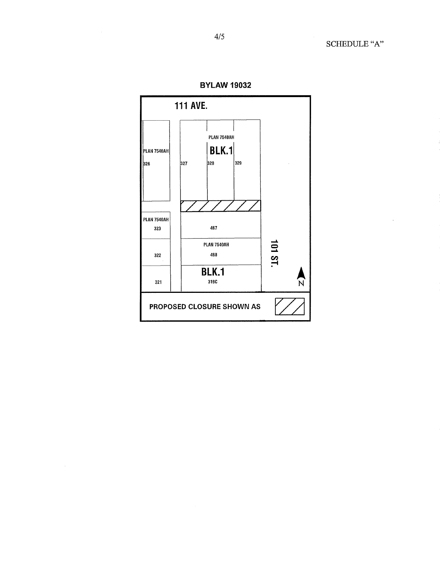

 $\sim$ 

**BYLAW 19032** 

 $\bar{z}$